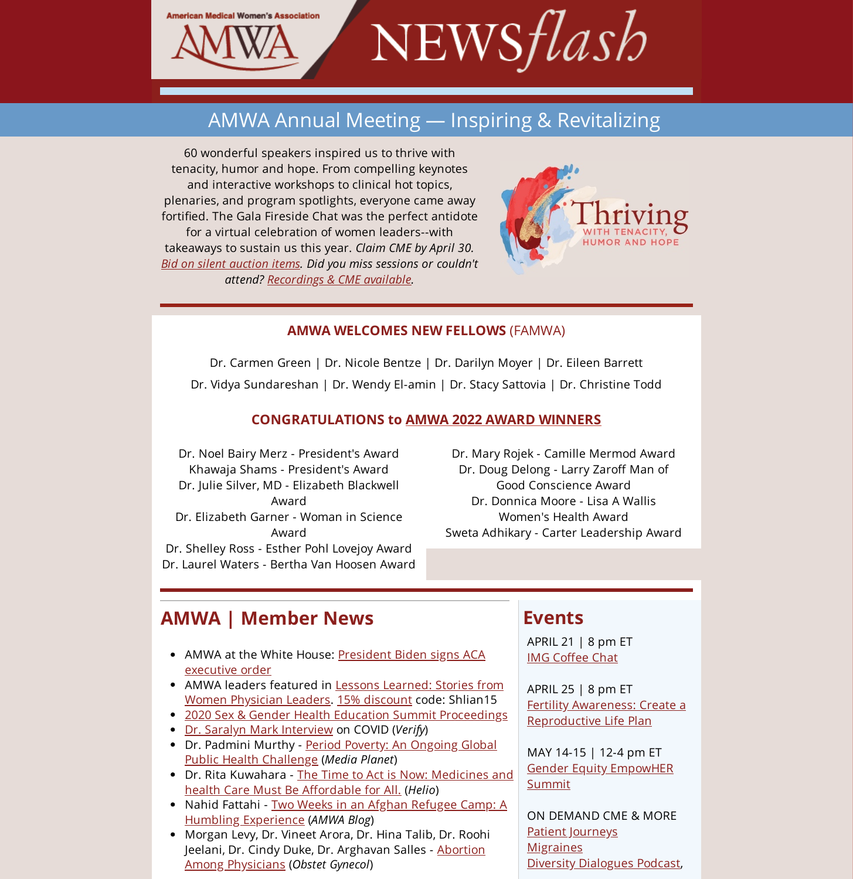

# AMWA Annual Meeting — Inspiring & Revitalizing

60 wonderful speakers inspired us to thrive with tenacity, humor and hope. From compelling keynotes and interactive workshops to clinical hot topics, plenaries, and program spotlights, everyone came away fortified. The Gala Fireside Chat was the perfect antidote for a virtual celebration of women leaders--with takeaways to sustain us this year. *Claim CME by April 30. Bid on silent auction items. Did you miss sessions or couldn't attend? Recordings & CME available.*



#### **AMWA WELCOMES NEW FELLOWS** (FAMWA)

Dr. Carmen Green | Dr. Nicole Bentze | Dr. Darilyn Moyer | Dr. Eileen Barrett Dr. Vidya Sundareshan | Dr. Wendy El-amin | Dr. Stacy Sattovia | Dr. Christine Todd

#### **CONGRATULATIONS to AMWA 2022 AWARD WINNERS**

Dr. Noel Bairy Merz - President's Award Khawaja Shams - President's Award Dr. Julie Silver, MD - Elizabeth Blackwell Award Dr. Elizabeth Garner - Woman in Science Award Dr. Shelley Ross - Esther Pohl Lovejoy Award Dr. Laurel Waters - Bertha Van Hoosen Award

Dr. Mary Rojek - Camille Mermod Award Dr. Doug Delong - Larry Zaroff Man of Good Conscience Award Dr. Donnica Moore - Lisa A Wallis Women's Health Award Sweta Adhikary - Carter Leadership Award

# **AMWA | Member News**

- AMWA at the White House: President Biden signs ACA executive order
- AMWA leaders featured in Lessons Learned: Stories from Women Physician Leaders. 15% discount code: Shlian15
- 2020 Sex & Gender Health Education Summit Proceedings
- Dr. Saralyn Mark Interview on COVID (*Verify*)
- Dr. Padmini Murthy Period Poverty: An Ongoing Global Public Health Challenge (*Media Planet*)
- Dr. Rita Kuwahara The Time to Act is Now: Medicines and health Care Must Be Affordable for All. (*Helio*)
- Nahid Fattahi Two Weeks in an Afghan Refugee Camp: A Humbling Experience (*AMWA Blog*)
- Morgan Levy, Dr. Vineet Arora, Dr. Hina Talib, Dr. Roohi Jeelani, Dr. Cindy Duke, Dr. Arghavan Salles - Abortion Among Physicians (*Obstet Gynecol*)

# **Events**

APRIL 21 | 8 pm ET IMG Coffee Chat

APRIL 25 | 8 pm ET Fertility Awareness: Create a Reproductive Life Plan

MAY 14-15 | 12-4 pm ET Gender Equity EmpowHER Summit

ON DEMAND CME & MORE Patient Journeys **Migraines** Diversity Dialogues Podcast,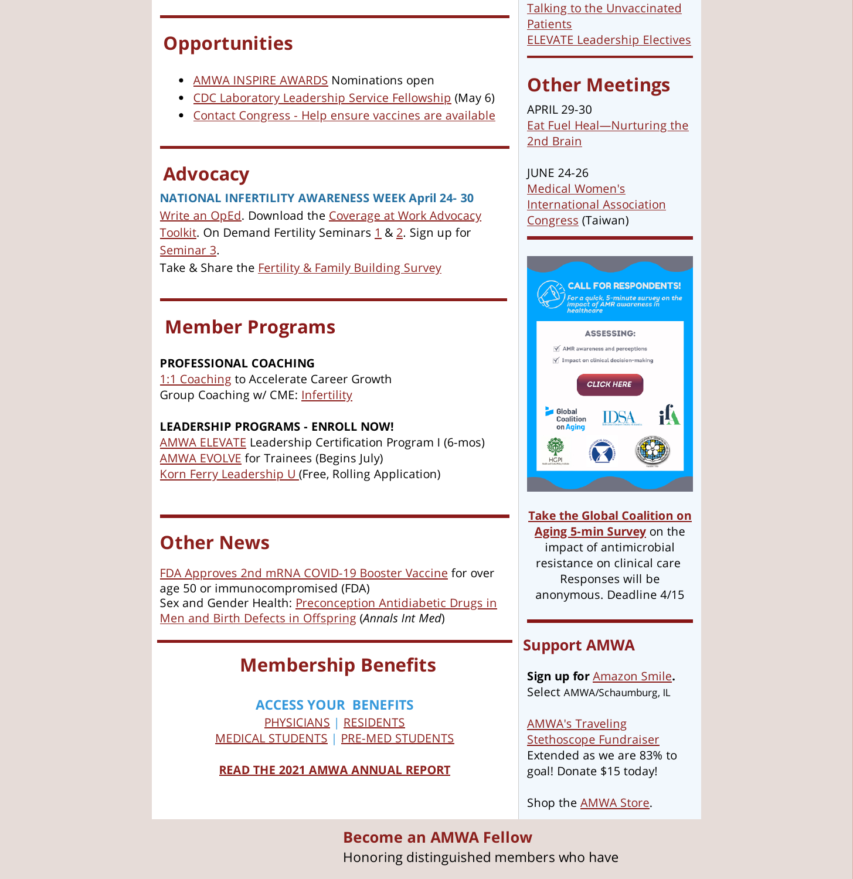### **Opportunities**

- AMWA INSPIRE AWARDS Nominations open
- CDC Laboratory Leadership Service Fellowship (May 6)
- Contact Congress Help ensure vaccines are available

### **Advocacy**

**NATIONAL INFERTILITY AWARENESS WEEK April 24- 30** Write an OpEd. Download the Coverage at Work Advocacy Toolkit. On Demand Fertility Seminars 1 & 2. Sign up for Seminar 3.

Take & Share the Fertility & Family Building Survey

### **Member Programs**

#### **PROFESSIONAL COACHING**

1:1 Coaching to Accelerate Career Growth Group Coaching w/ CME: Infertility

#### **LEADERSHIP PROGRAMS - ENROLL NOW!**

AMWA ELEVATE Leadership Certification Program I (6-mos) AMWA EVOLVE for Trainees (Begins July) Korn Ferry Leadership U (Free, Rolling Application)

## **Other News**

FDA Approves 2nd mRNA COVID-19 Booster Vaccine for over age 50 or immunocompromised (FDA) Sex and Gender Health: Preconception Antidiabetic Drugs in Men and Birth Defects in Offspring (*Annals Int Med*)

### **Membership Benefits**

**ACCESS YOUR BENEFITS** PHYSICIANS | RESIDENTS MEDICAL STUDENTS | PRE-MED STUDENTS

**READ THE 2021 AMWA ANNUAL REPORT**

Talking to the Unvaccinated **Patients** ELEVATE Leadership Electives

## **Other Meetings**

APRIL 29-30 Eat Fuel Heal—Nurturing the 2nd Brain

JUNE 24-26 Medical Women's International Association Congress (Taiwan)



**Take the Global Coalition on Aging 5-min Survey** on the impact of antimicrobial resistance on clinical care Responses will be anonymous. Deadline 4/15

#### **Support AMWA**

**Sign up for** Amazon Smile**.** Select AMWA/Schaumburg, IL

AMWA's Traveling Stethoscope Fundraiser Extended as we are 83% to goal! Donate \$15 today!

Shop the AMWA Store.

**Become an AMWA Fellow** Honoring distinguished members who have